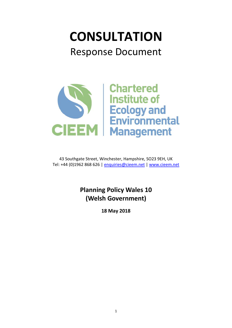# **CONSULTATION** Response Document



43 Southgate Street, Winchester, Hampshire, SO23 9EH, UK Tel: +44 (0)1962 868 626 | [enquiries@cieem.net](mailto:enquiries@cieem.net) | [www.cieem.net](http://www.cieem.net/)

# **Planning Policy Wales 10 (Welsh Government)**

**18 May 2018**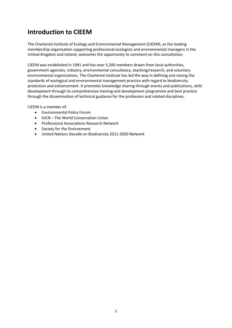## **Introduction to CIEEM**

The Chartered Institute of Ecology and Environmental Management (CIEEM), as the leading membership organisation supporting professional ecologists and environmental managers in the United Kingdom and Ireland, welcomes the opportunity to comment on this consultation.

CIEEM was established in 1991 and has over 5,200 members drawn from local authorities, government agencies, industry, environmental consultancy, teaching/research, and voluntary environmental organisations. The Chartered Institute has led the way in defining and raising the standards of ecological and environmental management practice with regard to biodiversity protection and enhancement. It promotes knowledge sharing through events and publications, skills development through its comprehensive training and development programme and best practice through the dissemination of technical guidance for the profession and related disciplines.

CIEEM is a member of:

- Environmental Policy Forum
- IUCN The World Conservation Union
- Professional Associations Research Network
- Society for the Environment
- United Nations Decade on Biodiversity 2011-2020 Network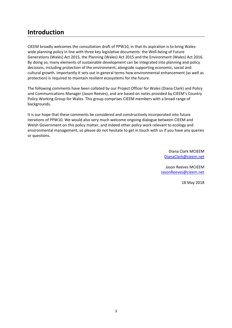#### **Introduction**

CIEEM broadly welcomes the consultation draft of PPW10, in that its aspiration is to bring Waleswide planning policy in line with three key legislative documents: the Well-being of Future Generations (Wales) Act 2015, the Planning (Wales) Act 2015 and the Environment (Wales) Act 2016. By doing so, many elements of sustainable development can be integrated into planning and policy decisions, including protection of the environment, alongside supporting economic, social and cultural growth. Importantly it sets out in general terms how environmental enhancement (as well as protection) is required to maintain resilient ecosystems for the future.

The following comments have been collated by our Project Officer for Wales (Diana Clark) and Policy and Communications Manager (Jason Reeves), and are based on notes provided by CIEEM's Country Policy Working Group for Wales. This group comprises CIEEM members with a broad range of backgrounds.

It is our hope that these comments be considered and constructively incorporated into future iterations of PPW10. We would also very much welcome ongoing dialogue between CIEEM and Welsh Government on this policy matter, and indeed other policy work relevant to ecology and environmental management, so please do not hesitate to get in touch with us if you have any queries or questions.

> Diana Clark MCIEEM [DianaClark@cieem.net](mailto:DianaClark@cieem.net)

Jason Reeves MCIEEM [JasonReeves@cieem.net](mailto:JasonReeves@cieem.net)

18 May 2018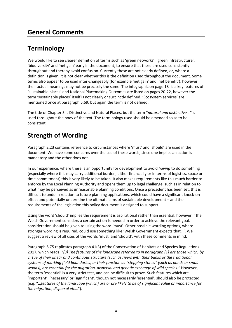# **Terminology**

We would like to see clearer definition of terms such as 'green networks', 'green infrastructure', 'biodiversity' and 'net gain' early in the document, to ensure that these are used consistently throughout and thereby avoid confusion. Currently these are not clearly defined, or, where a definition is given, it is not clear whether this is the definition used throughout the document. Some terms also appear to be used inter-changeably (for example 'net gain' and 'net benefit'), however their actual meanings may not be precisely the same. The infographic on page 18 lists key features of 'sustainable places' and National Placemaking Outcomes are listed on pages 20-22, however the term 'sustainable places' itself is not clearly or succinctly defined. 'Ecosystem services' are mentioned once at paragraph 5.69, but again the term is not defined.

The title of Chapter 5 is Distinctive and Natural Places, but the term "*natural and distinctive…"* is used throughout the body of the text. The terminology used should be amended so as to be consistent.

# **Strength of Wording**

Paragraph 2.23 contains reference to circumstances where 'must' and 'should' are used in the document. We have some concerns over the use of these words, since one implies an action is mandatory and the other does not.

In our experience, where there is an opportunity for development to avoid *having* to do something (especially where this may carry additional burden, either financially or in terms of logistics, space or time commitment) this is very likely to be taken. It also makes requirements like this much harder to enforce by the Local Planning Authority and opens them up to legal challenge, such as in relation to what may be perceived as unreasonable planning conditions. Once a precedent has been set, this is difficult to undo in relation to future planning applications, which could have a significant knock-on effect and potentially undermine the ultimate aims of sustainable development – and the requirements of the legislation this policy document is designed to support.

Using the word 'should' implies the requirement is aspirational rather than essential, however if the Welsh Government considers a certain action is needed in order to achieve the relevant goal, consideration should be given to using the word 'must'. Other possible wording options, where stronger wording is required, could use something like 'Welsh Government expects that…'. We suggest a review of all uses of the words 'must' and 'should', with these comments in mind.

Paragraph 5.75 replicates paragraph 41(3) of the Conservation of Habitats and Species Regulations 2017, which reads: "*(3) The features of the landscape referred to in paragraph (1) are those which, by virtue of their linear and continuous structure (such as rivers with their banks or the traditional systems of marking field boundaries) or their function as "stepping stones" (such as ponds or small woods), are essential for the migration, dispersal and genetic exchange of wild species."* However, the term 'essential' is a very strict test, and can be difficult to prove. Such features which are 'important', 'necessary' or 'significant', though not necessarily 'essential', should also be protected (e.g. "…*features of the landscape (which) are or are likely to be of significant value or importance for the migration, dispersal etc…*").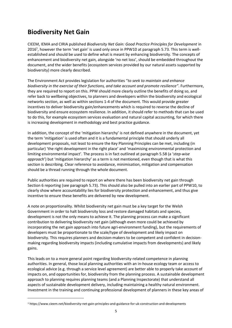## **Biodiversity Net Gain**

CIEEM, IEMA and CIRIA published *Biodiversity Net Gain: Good Practice Principles for Development* in 2016<sup>1</sup>, however the term 'net gain' is used only once in PPW10 at paragraph 5.73. This term is wellestablished and should be used to define what is meant by enhancing biodiversity. The concepts of enhancement and biodiversity net gain, alongside 'no net loss', should be embedded throughout the document, and the wider benefits (ecosystem services provided by our natural assets supported by biodiversity) more clearly described.

The Environment Act provides legislation for authorities "*to seek to maintain and enhance biodiversity in the exercise of their functions, and take account and promote resilience"*. Furthermore, they are required to report on this. PPW should more clearly outline the benefits of doing so, and refer back to wellbeing objectives, to planners and developers within the biodiversity and ecological networks section, as well as within sections 1-4 of the document. This would provide greater incentives to deliver biodiversity gain/enhancements which is required to reverse the decline of biodiversity and ensure ecosystem resilience. In addition, it should refer to methods that can be used to do this, for example ecosystem services evaluation and natural capital accounting, for which there is increasing development in methodology and best practice guidance.

In addition, the concept of the 'mitigation hierarchy' is not defined anywhere in the document, yet the term 'mitigation' is used often and it is a fundamental principle that should underly all development proposals, not least to ensure the Key Planning Principles can be met, including (in particular) 'the right development in the right place' and 'maximising environmental protection and limiting environmental impact'. The process is in fact outlined at paragraph 5.58 (a '*step-wise approach*') but 'mitigation hierarchy' as a term is not mentioned, even though that is what this section is describing. Clear reference to avoidance, minimisation, mitigation and compensation should be a thread running through the whole document.

Public authorities are required to report on where there has been biodiversity net gain through Section 6 reporting (see paragraph 5.73). This should also be pulled into an earlier part of PPW10, to clearly show where accountability lies for biodiversity protection and enhancement, and thus give incentive to ensure these benefits are delivered by new development.

A note on proportionality. Whilst biodiversity net gain must be a key target for the Welsh Government in order to halt biodiversity loss and restore damaged habitats and species, development is not the only means to achieve it. The planning process can make a significant contribution to delivering biodiversity net gain (although even more could be achieved by incorporating the net gain approach into future agri-environment funding), but the requirements of developers must be proportionate to the scale/type of development and likely impact on biodiversity. This requires planners and decision-makers to be competent and confident in decisionmaking regarding biodiversity impacts (including cumulative impacts from developments) and likely gains.

This leads on to a more general point regarding biodiversity-related competence in planning authorities. In general, those local planning authorities with an in-house ecology team or access to ecological advice (e.g. through a service level agreement) are better able to properly take account of impacts on, and opportunities for, biodiversity from the planning process. A sustainable development approach to planning requires planning teams (and a Planning Inspectorate) that understand all aspects of sustainable development delivery, including maintaining a healthy natural environment. Investment in the training and continuing professional development of planners in these key areas of

a<br>B

<sup>1</sup> https://www.cieem.net/biodiversity-net-gain-principles-and-guidance-for-uk-construction-and-developments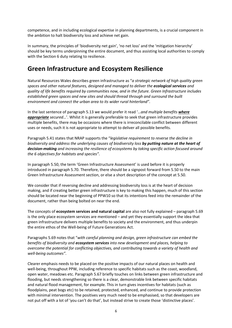competence, and in including ecological expertise in planning departments, is a crucial component in the ambition to halt biodiversity loss and achieve net gain.

In summary, the principles of 'biodiversity net gain', 'no net loss' and the 'mitigation hierarchy' should be key terms underpinning the entire document, and thus assisting local authorities to comply with the Section 6 duty relating to resilience.

#### **Green Infrastructure and Ecosystem Resilience**

Natural Resources Wales describes green infrastructure as "*a strategic network of high quality green spaces and other natural features, designed and managed to deliver the ecological services and quality of life benefits required by communities now, and in the future. Green Infrastructure includes established green spaces and new sites and should thread through and surround the built environment and connect the urban area to its wider rural hinterland"*.

In the last sentence of paragraph 5.13 we would prefer it read '…*and multiple benefits where appropriate secured*…'. Whilst it is generally preferable to seek that green infrastructure provides multiple benefits, there may be occasions where there is irreconcilable conflict between different uses or needs, such it is not appropriate to attempt to deliver all possible benefits.

Paragraph 5.41 states that NRAP supports the "*legislative requirement to reverse the decline in biodiversity and address the underlying causes of biodiversity loss by putting nature at the heart of decision-making and increasing the resilience of ecosystems by taking specific action focused around the 6 objectives for habitats and species"*.

In paragraph 5.50, the term 'Green Infrastructure Assessment' is used before it is properly introduced in paragraph 5.70. Therefore, there should be a signpost forward from 5.50 to the main Green Infrastructure Assessment section, or else a short description of the concept at 5.50.

We consider that if reversing decline and addressing biodiversity loss is at the heart of decision making, and if creating better green infrastructure is key to making this happen, much of this section should be located near the beginning of PPW10 so that its intentions feed into the remainder of the document, rather than being bolted on near the end.

The concepts of **ecosystem services and natural capital** are also not fully explained – paragraph 5.69 is the only place ecosystem services are mentioned – and yet they essentially support the idea that green infrastructure delivers multiple benefits to society and the environment, and thus underpin the entire ethos of the Well-being of Future Generations Act.

Paragraphs 5.69 notes that "*with careful planning and design, green infrastructure can embed the benefits of biodiversity and ecosystem services into new development and places, helping to overcome the potential for conflicting objectives, and contributing towards a variety of health and well-being outcomes"*.

Clearer emphasis needs to be placed on the positive impacts of our natural places on health and well-being, throughout PPW, including reference to specific habitats such as the coast, woodland, open water, meadows etc. Paragraph 5.67 briefly touches on links between green infrastructure and flooding, but needs strengthening so there is a clear, demonstrable link between specific habitats and natural flood management, for example. This in turn gives incentives for habitats (such as floodplains, peat bogs etc) to be retained, protected, enhanced, and continue to provide protection with minimal intervention. The positives very much need to be emphasised, so that developers are not put off with a lot of 'you can't do that', but instead strive to create those 'distinctive places'.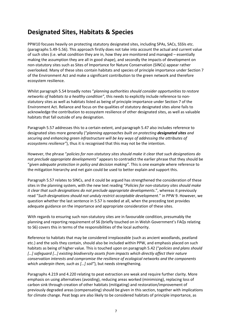#### **Designated Sites, Habitats & Species**

PPW10 focuses heavily on protecting statutory designated sites, including SPAs, SACs, SSSIs etc. (paragraphs 5.49-5.56). This approach firstly does not take into account the actual and current value of such sites (i.e. what condition they are in, how they are monitored and managed – essentially making the assumption they are all in good shape), and secondly the impacts of development on non-statutory sites such as Sites of Importance for Nature Conservation (SINCs) appear rather overlooked. Many of these sites contain habitats and species of principle importance under Section 7 of the Environment Act and make a significant contribution to the green network and therefore ecosystem resilience.

Whilst paragraph 5.54 broadly notes "*planning authorities should consider opportunities to restore networks of habitats to a healthy condition"*, this needs to explicitly include reference to nonstatutory sites as well as habitats listed as being of principle importance under Section 7 of the Environment Act. Reliance and focus on the qualities of statutory designated sites alone fails to acknowledge the contribution to ecosystem resilience of other designated sites, as well as valuable habitats that fall outside of any designation.

Paragraph 5.57 addresses this to a certain extent, and paragraph 5.47 also includes reference to designated sites more generally ("*planning approaches built on protecting designated sites and securing and enhancing green infrastructure will be key ways of addressing the attributes of ecosystems resilience"*), thus it is recognised that this may not be the intention.

However, the phrase "*policies for non-statutory sites should make it clear that such designations do not preclude appropriate developments"* appears to contradict the earlier phrase that they should be "*given adequate protection in policy and decision making"*. This is one example where reference to the mitigation hierarchy and net gain could be used to better explain and support this.

Paragraph 5.57 relates to SINCs, and it could be argued has strengthened the consideration of these sites in the planning system, with the new text reading "*Policies for non-statutory sites should make it clear that such designations do not preclude appropriate developments*.", whereas it previously read "*Such designations should not unduly restrict acceptable development*." in PPW 9. However, we question whether the last sentence in 5.57 is needed at all, when the preceding text provides adequate guidance on the importance and appropriate consideration of these sites.

With regards to ensuring such non-statutory sites are in favourable condition, presumably the planning and reporting requirement of S6 (briefly touched on in Welsh Government's FAQs relating to S6) covers this in terms of the responsibilities of the local authority.

Reference to habitats that may be considered irreplaceable (such as ancient woodlands, peatland etc.) and the soils they contain, should also be included within PPW, and emphasis placed on such habitats as being of higher value. This is touched upon on paragraph 5.42 ("*policies and plans should […] safeguard […] existing biodiversity assets from impacts which directly affect their nature conservation interests and compromise the resilience of ecological networks and the components which underpin them, such as […] soil"*), but needs strengthening.

Paragraphs 4.219 and 4.220 relating to peat extraction are weak and require further clarity. More emphasis on using alternatives (avoiding), reducing areas worked (minimising), replacing loss of carbon sink through creation of other habitats (mitigating) and restoration/improvement of previously degraded areas (compensating) should be given in this section, together with implications for climate change. Peat bogs are also likely to be considered habitats of principle importance, as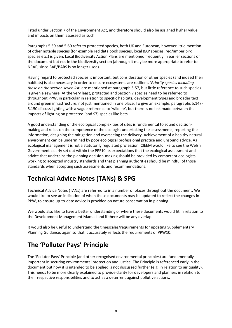listed under Section 7 of the Environment Act, and therefore should also be assigned higher value and impacts on them assessed as such.

Paragraphs 5.59 and 5.60 refer to protected species, both UK and European, however little mention of other notable species (for example red data book species, local BAP species, red/amber bird species etc.) is given. Local Biodiversity Action Plans are mentioned frequently in earlier sections of the document but not in the biodiversity section (although it may be more appropriate to refer to NRAP, since BAP/BARS is no longer used).

Having regard to protected species is important, but consideration of other species (and indeed their habitats) is also necessary in order to ensure ecosystems are resilient. '*Priority species including those on the section seven list*' are mentioned at paragraph 5.57, but little reference to such species is given elsewhere. At the very least, protected and Section 7 species need to be referred to throughout PPW, in particular in relation to specific habitats, development types and broader text around green infrastructure, not just mentioned in one place. To give an example, paragraphs 5.147- 5.150 discuss lighting with a vague reference to 'wildlife', but there is no link made between the impacts of lighting on protected (and S7) species like bats.

A good understanding of the ecological complexities of sites is fundamental to sound decisionmaking and relies on the competence of the ecologist undertaking the assessments, reporting the information, designing the mitigation and overseeing the delivery. Achievement of a healthy natural environment can be undermined by poor ecological professional practice and unsound advice. As ecological management is not a statutorily regulated profession, CIEEM would like to see the Welsh Government clearly set out within the PPF10 its expectations that the ecological assessment and advice that underpins the planning decision-making should be provided by competent ecologists working to accepted industry standards and that planning authorities should be mindful of those standards when accepting such assessments and recommendations.

## **Technical Advice Notes (TANs) & SPG**

Technical Advice Notes (TANs) are referred to in a number of places throughout the document. We would like to see an indication of when these documents may be updated to reflect the changes in PPW, to ensure up-to-date advice is provided on nature conservation in planning.

We would also like to have a better understanding of where these documents would fit in relation to the Development Management Manual and if there will be any overlap.

It would also be useful to understand the timescales/requirements for updating Supplementary Planning Guidance, again so that it accurately reflects the requirements of PPW10.

## **The 'Polluter Pays' Principle**

The 'Polluter Pays' Principle (and other recognised environmental principles) are fundamentally important in securing environmental protection and justice. The Principle is referenced early in the document but how it is intended to be applied is not discussed further (e.g. in relation to air quality). This needs to be more clearly explained to provide clarity for developers and planners in relation to their respective responsibilities and to act as a deterrent against pollutive actions.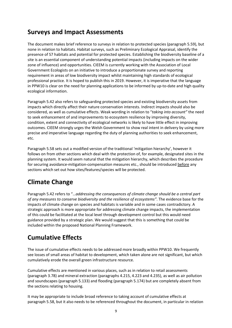#### **Surveys and Impact Assessments**

The document makes brief reference to surveys in relation to protected species (paragraph 5.59), but none in relation to habitats. Habitat surveys, such as Preliminary Ecological Appraisal, identify the presence of S7 habitats and potential for protected species. Establishing the biodiversity baseline of a site is an essential component of understanding potential impacts (including impacts on the wider zone of influence) and opportunities. CIEEM is currently working with the Association of Local Government Ecologists on an initiative to introduce a proportionate survey and reporting requirement in areas of low biodiversity impact whilst maintaining high standards of ecological professional practice. It is hoped to publish this in 2019. However, it is imperative that the language in PPW10 is clear on the need for planning applications to be informed by up-to-date and high quality ecological information.

Paragraph 5.42 also refers to safeguarding protected species and existing biodiversity assets from impacts which directly affect their nature conservation interests. Indirect impacts should also be considered, as well as cumulative effects. Weak wording in relation to "*taking into account"* the need to seek enhancement of and improvements to ecosystem resilience by improving diversity, condition, extent and connectivity of ecological networks is likely to have little effect in improving outcomes. CIEEM strongly urges the Welsh Government to show real intent in delivery by using more precise and imperative language regarding the duty of planning authorities to seek enhancement, etc.

Paragraph 5.58 sets out a modified version of the traditional 'mitigation hierarchy', however it follows on from other sections which deal with the protection of, for example, designated sites in the planning system. It would seem natural that the mitigation hierarchy, which describes the procedure for securing avoidance-mitigation-compensation measures etc., should be introduced before any sections which set out how sites/features/species will be protected.

# **Climate Change**

Paragraph 5.42 refers to "…*addressing the consequences of climate change should be a central part of any measures to conserve biodiversity and the resilience of ecosystems"*. The evidence base for the impacts of climate change on species and habitats is variable and in some cases contradictory. A strategic approach is more appropriate for addressing climate change impacts, the implementation of this could be facilitated at the local level through development control but this would need guidance provided by a strategic plan. We would suggest that this is something that could be included within the proposed National Planning Framework.

# **Cumulative Effects**

The issue of cumulative effects needs to be addressed more broadly within PPW10. We frequently see losses of small areas of habitat to development, which taken alone are not significant, but which cumulatively erode the overall green infrastructure resource.

Cumulative effects are mentioned in various places, such as in relation to retail assessments (paragraph 3.78) and mineral extraction (paragraphs 4.215, 4.223 and 4.235), as well as air pollution and soundscapes (paragraph 5.133) and flooding (paragraph 5.174) but are completely absent from the sections relating to housing.

It may be appropriate to include broad reference to taking account of cumulative effects at paragraph 5.58, but it also needs to be referenced throughout the document, in particular in relation